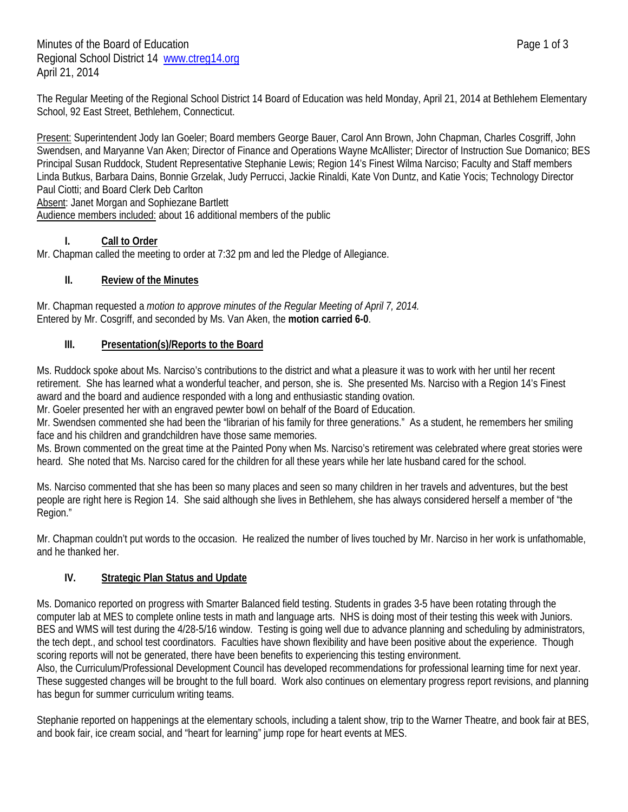The Regular Meeting of the Regional School District 14 Board of Education was held Monday, April 21, 2014 at Bethlehem Elementary School, 92 East Street, Bethlehem, Connecticut.

Present: Superintendent Jody Ian Goeler; Board members George Bauer, Carol Ann Brown, John Chapman, Charles Cosgriff, John Swendsen, and Maryanne Van Aken; Director of Finance and Operations Wayne McAllister; Director of Instruction Sue Domanico; BES Principal Susan Ruddock, Student Representative Stephanie Lewis; Region 14's Finest Wilma Narciso; Faculty and Staff members Linda Butkus, Barbara Dains, Bonnie Grzelak, Judy Perrucci, Jackie Rinaldi, Kate Von Duntz, and Katie Yocis; Technology Director Paul Ciotti; and Board Clerk Deb Carlton Absent: Janet Morgan and Sophiezane Bartlett

Audience members included: about 16 additional members of the public

# **I. Call to Order**

Mr. Chapman called the meeting to order at 7:32 pm and led the Pledge of Allegiance.

# **II. Review of the Minutes**

Mr. Chapman requested a *motion to approve minutes of the Regular Meeting of April 7, 2014.* Entered by Mr. Cosgriff, and seconded by Ms. Van Aken, the **motion carried 6-0**.

#### **III. Presentation(s)/Reports to the Board**

Ms. Ruddock spoke about Ms. Narciso's contributions to the district and what a pleasure it was to work with her until her recent retirement. She has learned what a wonderful teacher, and person, she is. She presented Ms. Narciso with a Region 14's Finest award and the board and audience responded with a long and enthusiastic standing ovation.

Mr. Goeler presented her with an engraved pewter bowl on behalf of the Board of Education.

Mr. Swendsen commented she had been the "librarian of his family for three generations." As a student, he remembers her smiling face and his children and grandchildren have those same memories.

Ms. Brown commented on the great time at the Painted Pony when Ms. Narciso's retirement was celebrated where great stories were heard. She noted that Ms. Narciso cared for the children for all these years while her late husband cared for the school.

Ms. Narciso commented that she has been so many places and seen so many children in her travels and adventures, but the best people are right here is Region 14. She said although she lives in Bethlehem, she has always considered herself a member of "the Region."

Mr. Chapman couldn't put words to the occasion. He realized the number of lives touched by Mr. Narciso in her work is unfathomable, and he thanked her.

# **IV. Strategic Plan Status and Update**

Ms. Domanico reported on progress with Smarter Balanced field testing. Students in grades 3-5 have been rotating through the computer lab at MES to complete online tests in math and language arts. NHS is doing most of their testing this week with Juniors. BES and WMS will test during the 4/28-5/16 window. Testing is going well due to advance planning and scheduling by administrators, the tech dept., and school test coordinators. Faculties have shown flexibility and have been positive about the experience. Though scoring reports will not be generated, there have been benefits to experiencing this testing environment.

Also, the Curriculum/Professional Development Council has developed recommendations for professional learning time for next year. These suggested changes will be brought to the full board. Work also continues on elementary progress report revisions, and planning has begun for summer curriculum writing teams.

Stephanie reported on happenings at the elementary schools, including a talent show, trip to the Warner Theatre, and book fair at BES, and book fair, ice cream social, and "heart for learning" jump rope for heart events at MES.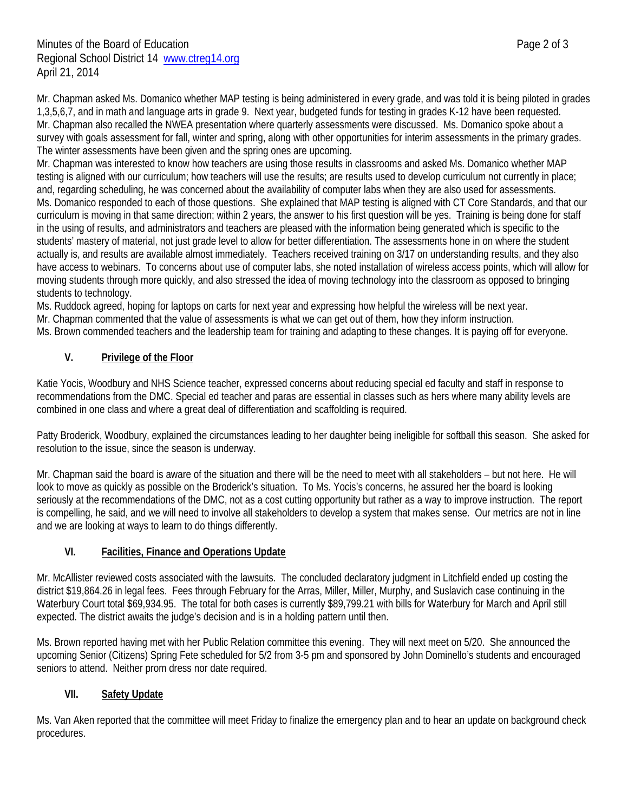Mr. Chapman asked Ms. Domanico whether MAP testing is being administered in every grade, and was told it is being piloted in grades 1,3,5,6,7, and in math and language arts in grade 9. Next year, budgeted funds for testing in grades K-12 have been requested. Mr. Chapman also recalled the NWEA presentation where quarterly assessments were discussed. Ms. Domanico spoke about a survey with goals assessment for fall, winter and spring, along with other opportunities for interim assessments in the primary grades. The winter assessments have been given and the spring ones are upcoming.

Mr. Chapman was interested to know how teachers are using those results in classrooms and asked Ms. Domanico whether MAP testing is aligned with our curriculum; how teachers will use the results; are results used to develop curriculum not currently in place; and, regarding scheduling, he was concerned about the availability of computer labs when they are also used for assessments. Ms. Domanico responded to each of those questions. She explained that MAP testing is aligned with CT Core Standards, and that our curriculum is moving in that same direction; within 2 years, the answer to his first question will be yes. Training is being done for staff in the using of results, and administrators and teachers are pleased with the information being generated which is specific to the students' mastery of material, not just grade level to allow for better differentiation. The assessments hone in on where the student actually is, and results are available almost immediately. Teachers received training on 3/17 on understanding results, and they also have access to webinars. To concerns about use of computer labs, she noted installation of wireless access points, which will allow for moving students through more quickly, and also stressed the idea of moving technology into the classroom as opposed to bringing students to technology.

Ms. Ruddock agreed, hoping for laptops on carts for next year and expressing how helpful the wireless will be next year. Mr. Chapman commented that the value of assessments is what we can get out of them, how they inform instruction.

Ms. Brown commended teachers and the leadership team for training and adapting to these changes. It is paying off for everyone.

# **V. Privilege of the Floor**

Katie Yocis, Woodbury and NHS Science teacher, expressed concerns about reducing special ed faculty and staff in response to recommendations from the DMC. Special ed teacher and paras are essential in classes such as hers where many ability levels are combined in one class and where a great deal of differentiation and scaffolding is required.

Patty Broderick, Woodbury, explained the circumstances leading to her daughter being ineligible for softball this season. She asked for resolution to the issue, since the season is underway.

Mr. Chapman said the board is aware of the situation and there will be the need to meet with all stakeholders – but not here. He will look to move as quickly as possible on the Broderick's situation. To Ms. Yocis's concerns, he assured her the board is looking seriously at the recommendations of the DMC, not as a cost cutting opportunity but rather as a way to improve instruction. The report is compelling, he said, and we will need to involve all stakeholders to develop a system that makes sense. Our metrics are not in line and we are looking at ways to learn to do things differently.

# **VI. Facilities, Finance and Operations Update**

Mr. McAllister reviewed costs associated with the lawsuits. The concluded declaratory judgment in Litchfield ended up costing the district \$19,864.26 in legal fees. Fees through February for the Arras, Miller, Miller, Murphy, and Suslavich case continuing in the Waterbury Court total \$69,934.95. The total for both cases is currently \$89,799.21 with bills for Waterbury for March and April still expected. The district awaits the judge's decision and is in a holding pattern until then.

Ms. Brown reported having met with her Public Relation committee this evening. They will next meet on 5/20. She announced the upcoming Senior (Citizens) Spring Fete scheduled for 5/2 from 3-5 pm and sponsored by John Dominello's students and encouraged seniors to attend. Neither prom dress nor date required.

# **VII. Safety Update**

Ms. Van Aken reported that the committee will meet Friday to finalize the emergency plan and to hear an update on background check procedures.